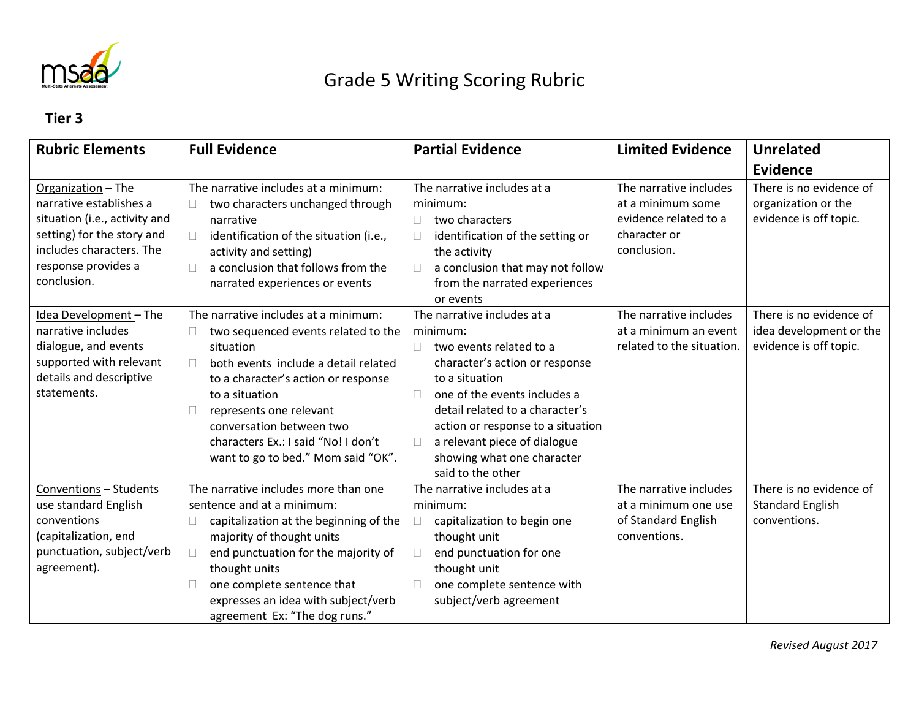

## Grade 5 Writing Scoring Rubric

## **Tier 3**

| <b>Rubric Elements</b>                                                                                                                                                         | <b>Full Evidence</b>                                                                                                                                                                                                                                                                                                                                   | <b>Partial Evidence</b>                                                                                                                                                                                                                                                                                                | <b>Limited Evidence</b>                                                                             | <b>Unrelated</b>                                                             |
|--------------------------------------------------------------------------------------------------------------------------------------------------------------------------------|--------------------------------------------------------------------------------------------------------------------------------------------------------------------------------------------------------------------------------------------------------------------------------------------------------------------------------------------------------|------------------------------------------------------------------------------------------------------------------------------------------------------------------------------------------------------------------------------------------------------------------------------------------------------------------------|-----------------------------------------------------------------------------------------------------|------------------------------------------------------------------------------|
|                                                                                                                                                                                |                                                                                                                                                                                                                                                                                                                                                        |                                                                                                                                                                                                                                                                                                                        |                                                                                                     | Evidence                                                                     |
| Organization - The<br>narrative establishes a<br>situation (i.e., activity and<br>setting) for the story and<br>includes characters. The<br>response provides a<br>conclusion. | The narrative includes at a minimum:<br>two characters unchanged through<br>$\Box$<br>narrative<br>identification of the situation (i.e.,<br>$\Box$<br>activity and setting)<br>a conclusion that follows from the<br>П<br>narrated experiences or events                                                                                              | The narrative includes at a<br>minimum:<br>two characters<br>П<br>identification of the setting or<br>the activity<br>a conclusion that may not follow<br>from the narrated experiences<br>or events                                                                                                                   | The narrative includes<br>at a minimum some<br>evidence related to a<br>character or<br>conclusion. | There is no evidence of<br>organization or the<br>evidence is off topic.     |
| Idea Development - The<br>narrative includes<br>dialogue, and events<br>supported with relevant<br>details and descriptive<br>statements.                                      | The narrative includes at a minimum:<br>two sequenced events related to the<br>$\Box$<br>situation<br>both events include a detail related<br>$\Box$<br>to a character's action or response<br>to a situation<br>represents one relevant<br>□<br>conversation between two<br>characters Ex.: I said "No! I don't<br>want to go to bed." Mom said "OK". | The narrative includes at a<br>minimum:<br>two events related to a<br>П<br>character's action or response<br>to a situation<br>one of the events includes a<br>detail related to a character's<br>action or response to a situation<br>a relevant piece of dialogue<br>showing what one character<br>said to the other | The narrative includes<br>at a minimum an event<br>related to the situation.                        | There is no evidence of<br>idea development or the<br>evidence is off topic. |
| Conventions - Students<br>use standard English<br>conventions<br>(capitalization, end<br>punctuation, subject/verb<br>agreement).                                              | The narrative includes more than one<br>sentence and at a minimum:<br>capitalization at the beginning of the<br>Ц<br>majority of thought units<br>end punctuation for the majority of<br>□<br>thought units<br>one complete sentence that<br>expresses an idea with subject/verb<br>agreement Ex: "The dog runs."                                      | The narrative includes at a<br>minimum:<br>capitalization to begin one<br>thought unit<br>end punctuation for one<br>thought unit<br>one complete sentence with<br>subject/verb agreement                                                                                                                              | The narrative includes<br>at a minimum one use<br>of Standard English<br>conventions.               | There is no evidence of<br><b>Standard English</b><br>conventions.           |